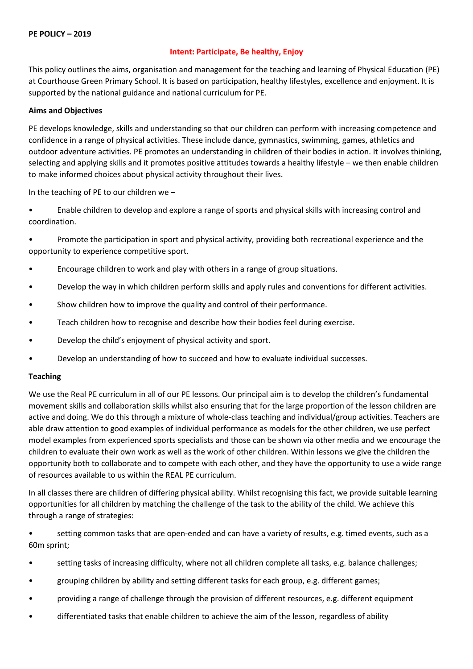### **Intent: Participate, Be healthy, Enjoy**

This policy outlines the aims, organisation and management for the teaching and learning of Physical Education (PE) at Courthouse Green Primary School. It is based on participation, healthy lifestyles, excellence and enjoyment. It is supported by the national guidance and national curriculum for PE.

### **Aims and Objectives**

PE develops knowledge, skills and understanding so that our children can perform with increasing competence and confidence in a range of physical activities. These include dance, gymnastics, swimming, games, athletics and outdoor adventure activities. PE promotes an understanding in children of their bodies in action. It involves thinking, selecting and applying skills and it promotes positive attitudes towards a healthy lifestyle – we then enable children to make informed choices about physical activity throughout their lives.

In the teaching of PE to our children we –

• Enable children to develop and explore a range of sports and physical skills with increasing control and coordination.

• Promote the participation in sport and physical activity, providing both recreational experience and the opportunity to experience competitive sport.

- Encourage children to work and play with others in a range of group situations.
- Develop the way in which children perform skills and apply rules and conventions for different activities.
- Show children how to improve the quality and control of their performance.
- Teach children how to recognise and describe how their bodies feel during exercise.
- Develop the child's enjoyment of physical activity and sport.
- Develop an understanding of how to succeed and how to evaluate individual successes.

#### **Teaching**

We use the Real PE curriculum in all of our PE lessons. Our principal aim is to develop the children's fundamental movement skills and collaboration skills whilst also ensuring that for the large proportion of the lesson children are active and doing. We do this through a mixture of whole-class teaching and individual/group activities. Teachers are able draw attention to good examples of individual performance as models for the other children, we use perfect model examples from experienced sports specialists and those can be shown via other media and we encourage the children to evaluate their own work as well as the work of other children. Within lessons we give the children the opportunity both to collaborate and to compete with each other, and they have the opportunity to use a wide range of resources available to us within the REAL PE curriculum.

In all classes there are children of differing physical ability. Whilst recognising this fact, we provide suitable learning opportunities for all children by matching the challenge of the task to the ability of the child. We achieve this through a range of strategies:

• setting common tasks that are open-ended and can have a variety of results, e.g. timed events, such as a 60m sprint;

- setting tasks of increasing difficulty, where not all children complete all tasks, e.g. balance challenges;
- grouping children by ability and setting different tasks for each group, e.g. different games;
- providing a range of challenge through the provision of different resources, e.g. different equipment
- differentiated tasks that enable children to achieve the aim of the lesson, regardless of ability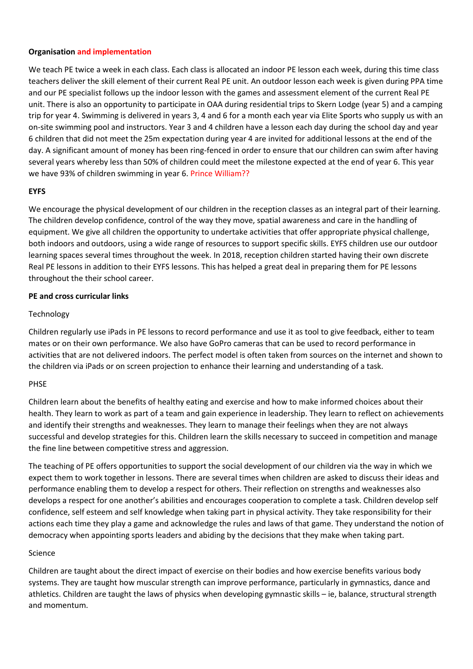### **Organisation and implementation**

We teach PE twice a week in each class. Each class is allocated an indoor PE lesson each week, during this time class teachers deliver the skill element of their current Real PE unit. An outdoor lesson each week is given during PPA time and our PE specialist follows up the indoor lesson with the games and assessment element of the current Real PE unit. There is also an opportunity to participate in OAA during residential trips to Skern Lodge (year 5) and a camping trip for year 4. Swimming is delivered in years 3, 4 and 6 for a month each year via Elite Sports who supply us with an on-site swimming pool and instructors. Year 3 and 4 children have a lesson each day during the school day and year 6 children that did not meet the 25m expectation during year 4 are invited for additional lessons at the end of the day. A significant amount of money has been ring-fenced in order to ensure that our children can swim after having several years whereby less than 50% of children could meet the milestone expected at the end of year 6. This year we have 93% of children swimming in year 6. Prince William??

### **EYFS**

We encourage the physical development of our children in the reception classes as an integral part of their learning. The children develop confidence, control of the way they move, spatial awareness and care in the handling of equipment. We give all children the opportunity to undertake activities that offer appropriate physical challenge, both indoors and outdoors, using a wide range of resources to support specific skills. EYFS children use our outdoor learning spaces several times throughout the week. In 2018, reception children started having their own discrete Real PE lessons in addition to their EYFS lessons. This has helped a great deal in preparing them for PE lessons throughout the their school career.

#### **PE and cross curricular links**

### **Technology**

Children regularly use iPads in PE lessons to record performance and use it as tool to give feedback, either to team mates or on their own performance. We also have GoPro cameras that can be used to record performance in activities that are not delivered indoors. The perfect model is often taken from sources on the internet and shown to the children via iPads or on screen projection to enhance their learning and understanding of a task.

# PHSE

Children learn about the benefits of healthy eating and exercise and how to make informed choices about their health. They learn to work as part of a team and gain experience in leadership. They learn to reflect on achievements and identify their strengths and weaknesses. They learn to manage their feelings when they are not always successful and develop strategies for this. Children learn the skills necessary to succeed in competition and manage the fine line between competitive stress and aggression.

The teaching of PE offers opportunities to support the social development of our children via the way in which we expect them to work together in lessons. There are several times when children are asked to discuss their ideas and performance enabling them to develop a respect for others. Their reflection on strengths and weaknesses also develops a respect for one another's abilities and encourages cooperation to complete a task. Children develop self confidence, self esteem and self knowledge when taking part in physical activity. They take responsibility for their actions each time they play a game and acknowledge the rules and laws of that game. They understand the notion of democracy when appointing sports leaders and abiding by the decisions that they make when taking part.

#### Science

Children are taught about the direct impact of exercise on their bodies and how exercise benefits various body systems. They are taught how muscular strength can improve performance, particularly in gymnastics, dance and athletics. Children are taught the laws of physics when developing gymnastic skills – ie, balance, structural strength and momentum.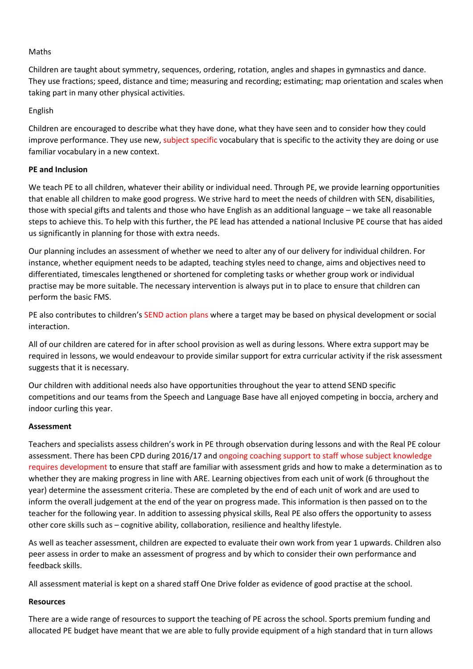### Maths

Children are taught about symmetry, sequences, ordering, rotation, angles and shapes in gymnastics and dance. They use fractions; speed, distance and time; measuring and recording; estimating; map orientation and scales when taking part in many other physical activities.

### English

Children are encouraged to describe what they have done, what they have seen and to consider how they could improve performance. They use new, subject specific vocabulary that is specific to the activity they are doing or use familiar vocabulary in a new context.

### **PE and Inclusion**

We teach PE to all children, whatever their ability or individual need. Through PE, we provide learning opportunities that enable all children to make good progress. We strive hard to meet the needs of children with SEN, disabilities, those with special gifts and talents and those who have English as an additional language – we take all reasonable steps to achieve this. To help with this further, the PE lead has attended a national Inclusive PE course that has aided us significantly in planning for those with extra needs.

Our planning includes an assessment of whether we need to alter any of our delivery for individual children. For instance, whether equipment needs to be adapted, teaching styles need to change, aims and objectives need to differentiated, timescales lengthened or shortened for completing tasks or whether group work or individual practise may be more suitable. The necessary intervention is always put in to place to ensure that children can perform the basic FMS.

PE also contributes to children's SEND action plans where a target may be based on physical development or social interaction.

All of our children are catered for in after school provision as well as during lessons. Where extra support may be required in lessons, we would endeavour to provide similar support for extra curricular activity if the risk assessment suggests that it is necessary.

Our children with additional needs also have opportunities throughout the year to attend SEND specific competitions and our teams from the Speech and Language Base have all enjoyed competing in boccia, archery and indoor curling this year.

#### **Assessment**

Teachers and specialists assess children's work in PE through observation during lessons and with the Real PE colour assessment. There has been CPD during 2016/17 and ongoing coaching support to staff whose subject knowledge requires development to ensure that staff are familiar with assessment grids and how to make a determination as to whether they are making progress in line with ARE. Learning objectives from each unit of work (6 throughout the year) determine the assessment criteria. These are completed by the end of each unit of work and are used to inform the overall judgement at the end of the year on progress made. This information is then passed on to the teacher for the following year. In addition to assessing physical skills, Real PE also offers the opportunity to assess other core skills such as – cognitive ability, collaboration, resilience and healthy lifestyle.

As well as teacher assessment, children are expected to evaluate their own work from year 1 upwards. Children also peer assess in order to make an assessment of progress and by which to consider their own performance and feedback skills.

All assessment material is kept on a shared staff One Drive folder as evidence of good practise at the school.

#### **Resources**

There are a wide range of resources to support the teaching of PE across the school. Sports premium funding and allocated PE budget have meant that we are able to fully provide equipment of a high standard that in turn allows